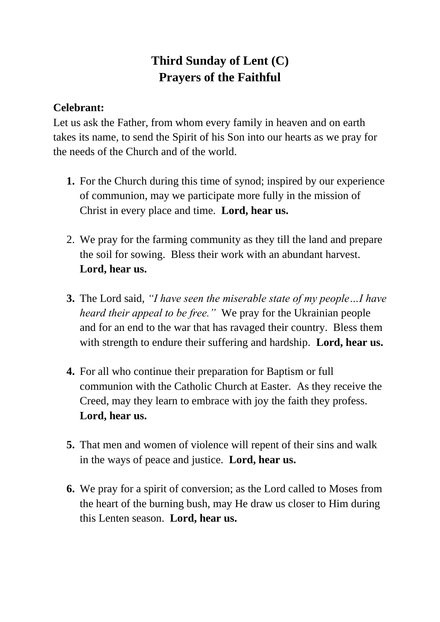## **Third Sunday of Lent (C) Prayers of the Faithful**

## **Celebrant:**

Let us ask the Father, from whom every family in heaven and on earth takes its name, to send the Spirit of his Son into our hearts as we pray for the needs of the Church and of the world.

- **1.** For the Church during this time of synod; inspired by our experience of communion, may we participate more fully in the mission of Christ in every place and time. **Lord, hear us.**
- 2. We pray for the farming community as they till the land and prepare the soil for sowing. Bless their work with an abundant harvest. **Lord, hear us.**
- **3.** The Lord said, *"I have seen the miserable state of my people…I have heard their appeal to be free."* We pray for the Ukrainian people and for an end to the war that has ravaged their country. Bless them with strength to endure their suffering and hardship. **Lord, hear us.**
- **4.** For all who continue their preparation for Baptism or full communion with the Catholic Church at Easter. As they receive the Creed, may they learn to embrace with joy the faith they profess. **Lord, hear us.**
- **5.** That men and women of violence will repent of their sins and walk in the ways of peace and justice. **Lord, hear us.**
- **6.** We pray for a spirit of conversion; as the Lord called to Moses from the heart of the burning bush, may He draw us closer to Him during this Lenten season. **Lord, hear us.**